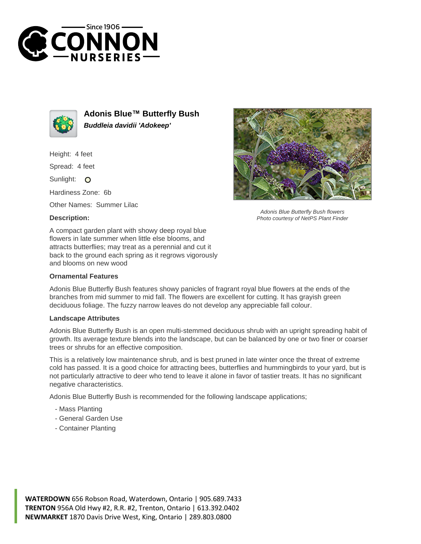



**Adonis Blue™ Butterfly Bush Buddleia davidii 'Adokeep'**

Height: 4 feet

Spread: 4 feet

Sunlight: O

Hardiness Zone: 6b

Other Names: Summer Lilac

## **Description:**



## **Ornamental Features**



## **Landscape Attributes**

Adonis Blue Butterfly Bush is an open multi-stemmed deciduous shrub with an upright spreading habit of growth. Its average texture blends into the landscape, but can be balanced by one or two finer or coarser trees or shrubs for an effective composition.

This is a relatively low maintenance shrub, and is best pruned in late winter once the threat of extreme cold has passed. It is a good choice for attracting bees, butterflies and hummingbirds to your yard, but is not particularly attractive to deer who tend to leave it alone in favor of tastier treats. It has no significant negative characteristics.

Adonis Blue Butterfly Bush is recommended for the following landscape applications;

- Mass Planting
- General Garden Use
- Container Planting



Adonis Blue Butterfly Bush flowers Photo courtesy of NetPS Plant Finder

**WATERDOWN** 656 Robson Road, Waterdown, Ontario | 905.689.7433 **TRENTON** 956A Old Hwy #2, R.R. #2, Trenton, Ontario | 613.392.0402 **NEWMARKET** 1870 Davis Drive West, King, Ontario | 289.803.0800